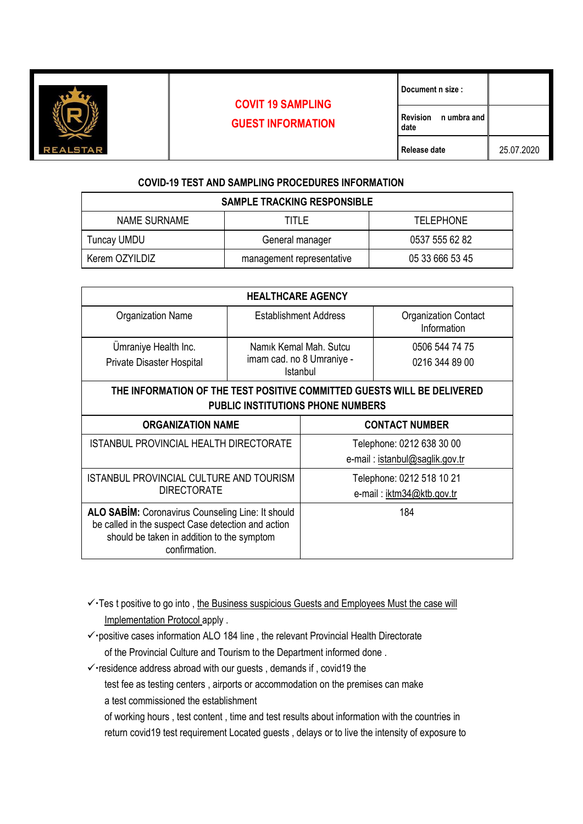

## **COVIT 19 SAMPLING GUEST INFORMATION**

**date**

## **COVID-19 TEST AND SAMPLING PROCEDURES INFORMATION**

| <b>SAMPLE TRACKING RESPONSIBLE</b> |                           |                  |  |  |
|------------------------------------|---------------------------|------------------|--|--|
| NAME SURNAME                       | TITLE                     | <b>TELEPHONE</b> |  |  |
| Tuncay UMDU                        | General manager           | 0537 555 62 82   |  |  |
| Kerem OZYILDIZ                     | management representative | 05 33 666 53 45  |  |  |

| <b>HEALTHCARE AGENCY</b>                                                                                                                                                      |                                                                 |                           |                                            |  |
|-------------------------------------------------------------------------------------------------------------------------------------------------------------------------------|-----------------------------------------------------------------|---------------------------|--------------------------------------------|--|
| <b>Organization Name</b>                                                                                                                                                      | Establishment Address                                           |                           | <b>Organization Contact</b><br>Information |  |
| Umraniye Health Inc.<br><b>Private Disaster Hospital</b>                                                                                                                      | Namik Kemal Mah. Sutcu<br>imam cad. no 8 Umraniye -<br>Istanbul |                           | 0506 544 74 75<br>0216 344 89 00           |  |
|                                                                                                                                                                               |                                                                 |                           |                                            |  |
| THE INFORMATION OF THE TEST POSITIVE COMMITTED GUESTS WILL BE DELIVERED                                                                                                       |                                                                 |                           |                                            |  |
| <b>PUBLIC INSTITUTIONS PHONE NUMBERS</b>                                                                                                                                      |                                                                 |                           |                                            |  |
| <b>ORGANIZATION NAME</b>                                                                                                                                                      |                                                                 | <b>CONTACT NUMBER</b>     |                                            |  |
| ISTANBUL PROVINCIAL HEALTH DIRECTORATE                                                                                                                                        |                                                                 | Telephone: 0212 638 30 00 |                                            |  |
|                                                                                                                                                                               |                                                                 |                           | e-mail: istanbul@saglik.gov.tr             |  |
| <b>ISTANBUL PROVINCIAL CULTURE AND TOURISM</b><br><b>DIRECTORATE</b>                                                                                                          |                                                                 | Telephone: 0212 518 10 21 |                                            |  |
|                                                                                                                                                                               |                                                                 | e-mail: iktm34@ktb.gov.tr |                                            |  |
| <b>ALO SABIM:</b> Coronavirus Counseling Line: It should<br>be called in the suspect Case detection and action<br>should be taken in addition to the symptom<br>confirmation. |                                                                 |                           | 184                                        |  |

✓Tes t positive to go into , the Business suspicious Guests and Employees Must the case will Implementation Protocol apply .

- ✓positive cases information ALO 184 line , the relevant Provincial Health Directorate of the Provincial Culture and Tourism to the Department informed done .
- ✓residence address abroad with our guests , demands if , covid19 the
	- test fee as testing centers , airports or accommodation on the premises can make a test commissioned the establishment

of working hours , test content , time and test results about information with the countries in return covid19 test requirement Located guests , delays or to live the intensity of exposure to